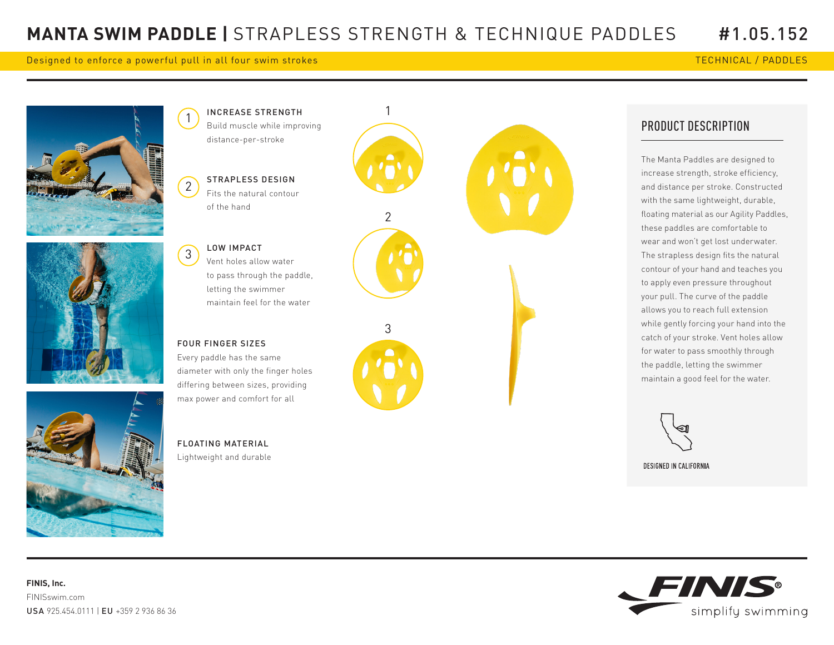## Designed to enforce a powerful pull in all four swim strokes TECHNICAL / PADDLES

2

3

Lightweight and durable









## PRODUCT DESCRIPTION

The Manta Paddles are designed to increase strength, stroke efficiency, and distance per stroke. Constructed with the same lightweight, durable, floating material as our Agility Paddles, these paddles are comfortable to wear and won't get lost underwater. The strapless design fits the natural contour of your hand and teaches you to apply even pressure throughout your pull. The curve of the paddle allows you to reach full extension while gently forcing your hand into the catch of your stroke. Vent holes allow for water to pass smoothly through the paddle, letting the swimmer maintain a good feel for the water.



DESIGNED IN CALIFORNIA

**FINIS, Inc.**  FINISswim.com USA 925.454.0111 | EU +359 2 936 86 36